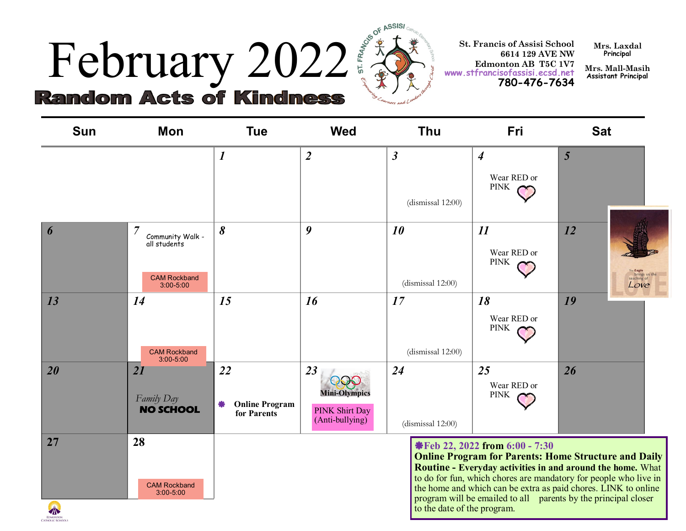## February 2022 **St. Francis of Assisi** School<br>
Edmonton AB T5C IV7<br>
Random Acte of Minimals Contract of Assisi School<br>
Random Acte of Minimals (2022 and 2023) **Random Acts of Kindness**



**6614 129 AVE NW Edmonton AB T5C 1V7 www.stfrancisofassisi.ecsd.net 780-476-7634**

**Mrs. Laxdal Principal**

**Mrs. Mall-Masih Assistant Principal**